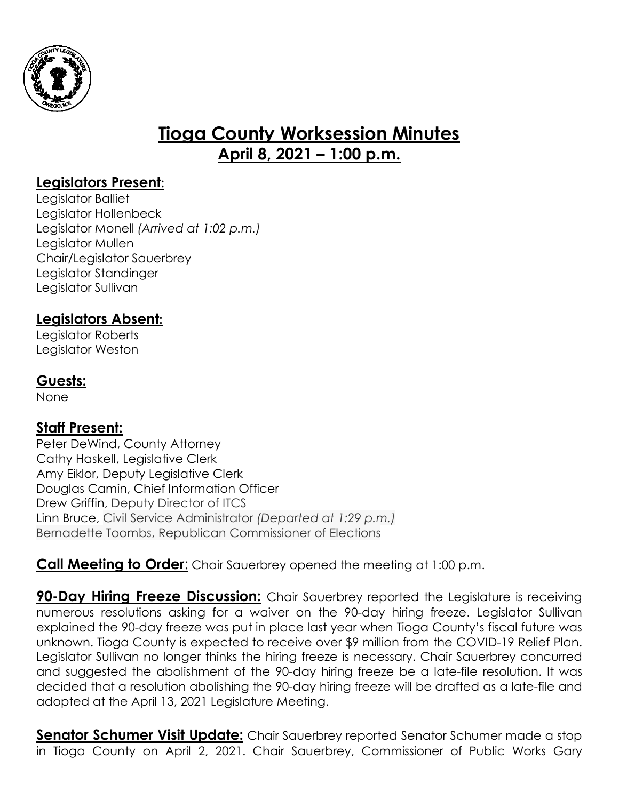

# **Tioga County Worksession Minutes April 8, 2021 – 1:00 p.m.**

## **Legislators Present:**

Legislator Balliet Legislator Hollenbeck Legislator Monell *(Arrived at 1:02 p.m.)* Legislator Mullen Chair/Legislator Sauerbrey Legislator Standinger Legislator Sullivan

# **Legislators Absent:**

Legislator Roberts Legislator Weston

### **Guests:**

None

# **Staff Present:**

Peter DeWind, County Attorney Cathy Haskell, Legislative Clerk Amy Eiklor, Deputy Legislative Clerk Douglas Camin, Chief Information Officer Drew Griffin, Deputy Director of ITCS Linn Bruce, Civil Service Administrator *(Departed at 1:29 p.m.)* Bernadette Toombs, Republican Commissioner of Elections

#### **Call Meeting to Order:** Chair Sauerbrey opened the meeting at 1:00 p.m.

**90-Day Hiring Freeze Discussion:** Chair Sauerbrey reported the Legislature is receiving numerous resolutions asking for a waiver on the 90-day hiring freeze. Legislator Sullivan explained the 90-day freeze was put in place last year when Tioga County's fiscal future was unknown. Tioga County is expected to receive over \$9 million from the COVID-19 Relief Plan. Legislator Sullivan no longer thinks the hiring freeze is necessary. Chair Sauerbrey concurred and suggested the abolishment of the 90-day hiring freeze be a late-file resolution. It was decided that a resolution abolishing the 90-day hiring freeze will be drafted as a late-file and adopted at the April 13, 2021 Legislature Meeting.

**Senator Schumer Visit Update:** Chair Sauerbrey reported Senator Schumer made a stop in Tioga County on April 2, 2021. Chair Sauerbrey, Commissioner of Public Works Gary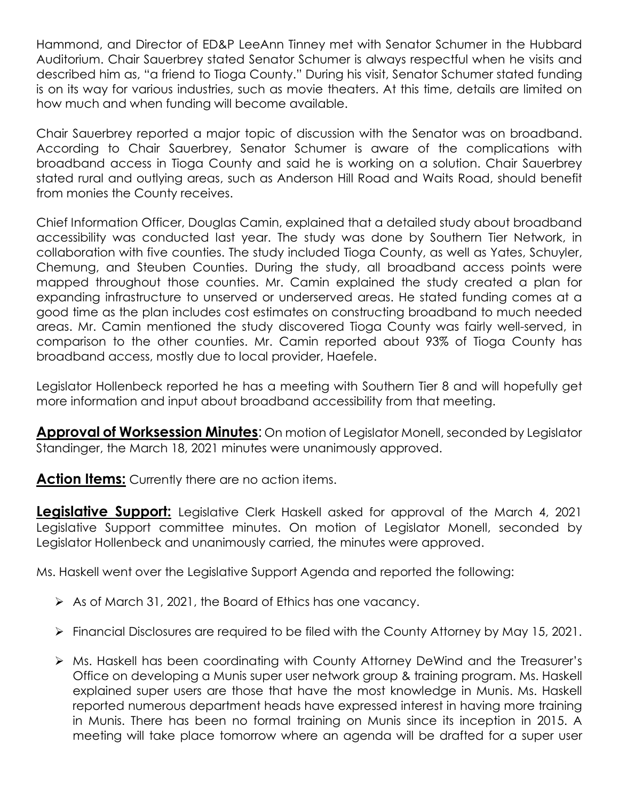Hammond, and Director of ED&P LeeAnn Tinney met with Senator Schumer in the Hubbard Auditorium. Chair Sauerbrey stated Senator Schumer is always respectful when he visits and described him as, "a friend to Tioga County." During his visit, Senator Schumer stated funding is on its way for various industries, such as movie theaters. At this time, details are limited on how much and when funding will become available.

Chair Sauerbrey reported a major topic of discussion with the Senator was on broadband. According to Chair Sauerbrey, Senator Schumer is aware of the complications with broadband access in Tioga County and said he is working on a solution. Chair Sauerbrey stated rural and outlying areas, such as Anderson Hill Road and Waits Road, should benefit from monies the County receives.

Chief Information Officer, Douglas Camin, explained that a detailed study about broadband accessibility was conducted last year. The study was done by Southern Tier Network, in collaboration with five counties. The study included Tioga County, as well as Yates, Schuyler, Chemung, and Steuben Counties. During the study, all broadband access points were mapped throughout those counties. Mr. Camin explained the study created a plan for expanding infrastructure to unserved or underserved areas. He stated funding comes at a good time as the plan includes cost estimates on constructing broadband to much needed areas. Mr. Camin mentioned the study discovered Tioga County was fairly well-served, in comparison to the other counties. Mr. Camin reported about 93% of Tioga County has broadband access, mostly due to local provider, Haefele.

Legislator Hollenbeck reported he has a meeting with Southern Tier 8 and will hopefully get more information and input about broadband accessibility from that meeting.

**Approval of Worksession Minutes**: On motion of Legislator Monell, seconded by Legislator Standinger, the March 18, 2021 minutes were unanimously approved.

**Action Items:** Currently there are no action items.

**Legislative Support:** Legislative Clerk Haskell asked for approval of the March 4, 2021 Legislative Support committee minutes. On motion of Legislator Monell, seconded by Legislator Hollenbeck and unanimously carried, the minutes were approved.

Ms. Haskell went over the Legislative Support Agenda and reported the following:

- $\triangleright$  As of March 31, 2021, the Board of Ethics has one vacancy.
- Financial Disclosures are required to be filed with the County Attorney by May 15, 2021.
- Ms. Haskell has been coordinating with County Attorney DeWind and the Treasurer's Office on developing a Munis super user network group & training program. Ms. Haskell explained super users are those that have the most knowledge in Munis. Ms. Haskell reported numerous department heads have expressed interest in having more training in Munis. There has been no formal training on Munis since its inception in 2015. A meeting will take place tomorrow where an agenda will be drafted for a super user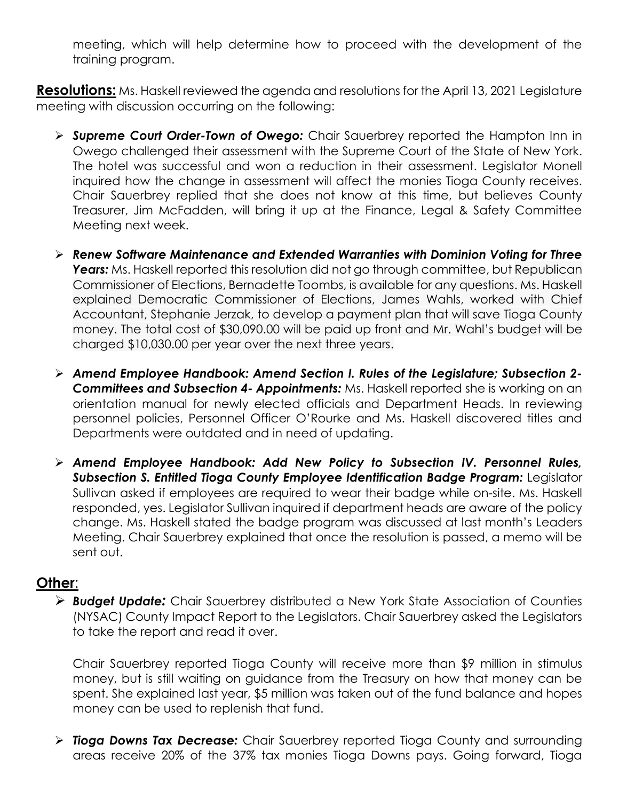meeting, which will help determine how to proceed with the development of the training program.

**Resolutions:** Ms. Haskell reviewed the agenda and resolutions for the April 13, 2021 Legislature meeting with discussion occurring on the following:

- *Supreme Court Order-Town of Owego:* Chair Sauerbrey reported the Hampton Inn in Owego challenged their assessment with the Supreme Court of the State of New York. The hotel was successful and won a reduction in their assessment. Legislator Monell inquired how the change in assessment will affect the monies Tioga County receives. Chair Sauerbrey replied that she does not know at this time, but believes County Treasurer, Jim McFadden, will bring it up at the Finance, Legal & Safety Committee Meeting next week.
- *Renew Software Maintenance and Extended Warranties with Dominion Voting for Three* **Years:** Ms. Haskell reported this resolution did not go through committee, but Republican Commissioner of Elections, Bernadette Toombs, is available for any questions. Ms. Haskell explained Democratic Commissioner of Elections, James Wahls, worked with Chief Accountant, Stephanie Jerzak, to develop a payment plan that will save Tioga County money. The total cost of \$30,090.00 will be paid up front and Mr. Wahl's budget will be charged \$10,030.00 per year over the next three years.
- *Amend Employee Handbook: Amend Section I. Rules of the Legislature; Subsection 2- Committees and Subsection 4- Appointments:* Ms. Haskell reported she is working on an orientation manual for newly elected officials and Department Heads. In reviewing personnel policies, Personnel Officer O'Rourke and Ms. Haskell discovered titles and Departments were outdated and in need of updating.
- *Amend Employee Handbook: Add New Policy to Subsection IV. Personnel Rules, Subsection S. Entitled Tioga County Employee Identification Badge Program:* Legislator Sullivan asked if employees are required to wear their badge while on-site. Ms. Haskell responded, yes. Legislator Sullivan inquired if department heads are aware of the policy change. Ms. Haskell stated the badge program was discussed at last month's Leaders Meeting. Chair Sauerbrey explained that once the resolution is passed, a memo will be sent out.

#### **Other**:

 *Budget Update:* Chair Sauerbrey distributed a New York State Association of Counties (NYSAC) County Impact Report to the Legislators. Chair Sauerbrey asked the Legislators to take the report and read it over.

Chair Sauerbrey reported Tioga County will receive more than \$9 million in stimulus money, but is still waiting on guidance from the Treasury on how that money can be spent. She explained last year, \$5 million was taken out of the fund balance and hopes money can be used to replenish that fund.

 *Tioga Downs Tax Decrease:* Chair Sauerbrey reported Tioga County and surrounding areas receive 20% of the 37% tax monies Tioga Downs pays. Going forward, Tioga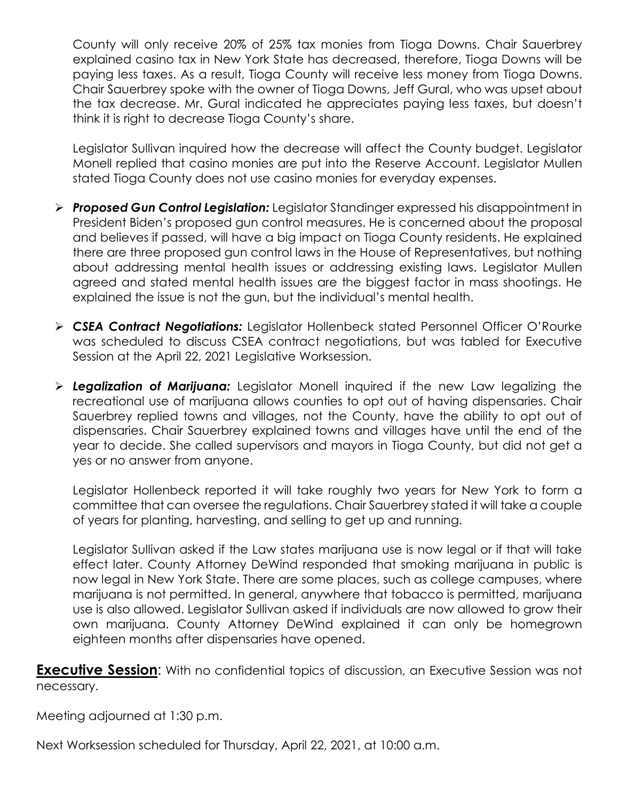County will only receive 20% of 25% tax monies from Tioga Downs. Chair Sauerbrey explained casino tax in New York State has decreased, therefore, Tioga Downs will be paying less taxes. As a result, Tioga County will receive less money from Tioga Downs. Chair Sauerbrey spoke with the owner of Tioga Downs, Jeff Gural, who was upset about the tax decrease. Mr. Gural indicated he appreciates paying less taxes, but doesn't think it is right to decrease Tioga County's share.

Legislator Sullivan inquired how the decrease will affect the County budget. Legislator Monell replied that casino monies are put into the Reserve Account. Legislator Mullen stated Tioga County does not use casino monies for everyday expenses.

- *Proposed Gun Control Legislation:* Legislator Standinger expressed his disappointment in President Biden's proposed gun control measures. He is concerned about the proposal and believes if passed, will have a big impact on Tioga County residents. He explained there are three proposed gun control laws in the House of Representatives, but nothing about addressing mental health issues or addressing existing laws. Legislator Mullen agreed and stated mental health issues are the biggest factor in mass shootings. He explained the issue is not the gun, but the individual's mental health.
- *CSEA Contract Negotiations:* Legislator Hollenbeck stated Personnel Officer O'Rourke was scheduled to discuss CSEA contract negotiations, but was tabled for Executive Session at the April 22, 2021 Legislative Worksession.
- *Legalization of Marijuana:* Legislator Monell inquired if the new Law legalizing the recreational use of marijuana allows counties to opt out of having dispensaries. Chair Sauerbrey replied towns and villages, not the County, have the ability to opt out of dispensaries. Chair Sauerbrey explained towns and villages have until the end of the year to decide. She called supervisors and mayors in Tioga County, but did not get a yes or no answer from anyone.

Legislator Hollenbeck reported it will take roughly two years for New York to form a committee that can oversee the regulations. Chair Sauerbrey stated it will take a couple of years for planting, harvesting, and selling to get up and running.

Legislator Sullivan asked if the Law states marijuana use is now legal or if that will take effect later. County Attorney DeWind responded that smoking marijuana in public is now legal in New York State. There are some places, such as college campuses, where marijuana is not permitted. In general, anywhere that tobacco is permitted, marijuana use is also allowed. Legislator Sullivan asked if individuals are now allowed to grow their own marijuana. County Attorney DeWind explained it can only be homegrown eighteen months after dispensaries have opened.

**Executive Session**: With no confidential topics of discussion, an Executive Session was not necessary.

Meeting adjourned at 1:30 p.m.

Next Worksession scheduled for Thursday, April 22, 2021, at 10:00 a.m.